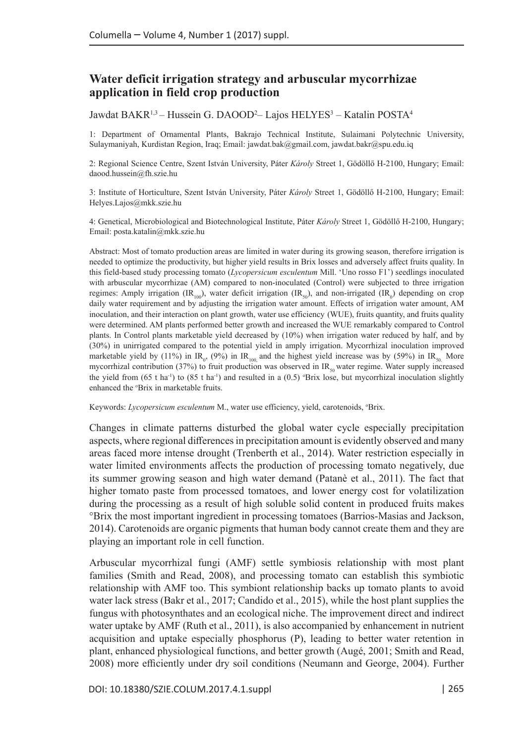# **Water deficit irrigation strategy and arbuscular mycorrhizae application in field crop production**

Jawdat BAKR<sup>1,3</sup> – Hussein G. DAOOD<sup>2</sup>– Lajos HELYES<sup>3</sup> – Katalin POSTA<sup>4</sup>

1: Department of Ornamental Plants, Bakrajo Technical Institute, Sulaimani Polytechnic University, Sulaymaniyah, Kurdistan Region, Iraq; Email: [jawdat.bak@gmail.com](mailto:jawdat.bak@gmail.com), [jawdat.bakr@spu.edu.iq](mailto:jawdat.bakr@spu.edu.iq)

2: Regional Science Centre, Szent István University, Páter *Károly* Street 1, Gödöllő H-2100, Hungary; Email: [daood.hussein@fh.szie.hu](mailto:daood.hussein@fh.szie.hu)

3: Institute of Horticulture, Szent István University, Páter *Károly* Street 1, Gödöllő H-2100, Hungary; Email: [Helyes.Lajos@mkk.szie.hu](mailto:Helyes.Lajos@mkk.szie.hu)

4: Genetical, Microbiological and Biotechnological Institute, Páter *Károly* Street 1, Gödöllő H-2100, Hungary; Email: [posta.katalin@mkk.szie.hu](mailto:posta.katalin@mkk.szie.hu)

Abstract: Most of tomato production areas are limited in water during its growing season, therefore irrigation is needed to optimize the productivity, but higher yield results in Brix losses and adversely affect fruits quality. In this field-based study processing tomato (*Lycopersicum esculentum* Mill. 'Uno rosso F1') seedlings inoculated with arbuscular mycorrhizae (AM) compared to non-inoculated (Control) were subjected to three irrigation regimes: Amply irrigation (IR<sub>100</sub>), water deficit irrigation (IR<sub>50</sub>), and non-irrigated (IR<sub>0</sub>) depending on crop daily water requirement and by adjusting the irrigation water amount. Effects of irrigation water amount, AM inoculation, and their interaction on plant growth, water use efficiency (WUE), fruits quantity, and fruits quality were determined. AM plants performed better growth and increased the WUE remarkably compared to Control plants. In Control plants marketable yield decreased by (10%) when irrigation water reduced by half, and by (30%) in unirrigated compared to the potential yield in amply irrigation. Mycorrhizal inoculation improved marketable yield by (11%) in IR<sub>0</sub>, (9%) in IR<sub>100</sub> and the highest yield increase was by (59%) in IR<sub>50.</sub> More mycorrhizal contribution (37%) to fruit production was observed in  $IR_{50}$  water regime. Water supply increased the yield from (65 t ha<sup>-1</sup>) to (85 t ha<sup>-1</sup>) and resulted in a (0.5) <sup>o</sup>Brix lose, but mycorrhizal inoculation slightly enhanced the *'Brix* in marketable fruits.

Keywords: Lycopersicum esculentum M., water use efficiency, yield, carotenoids, °Brix.

Changes in climate patterns disturbed the global water cycle especially precipitation aspects, where regional differences in precipitation amount is evidently observed and many areas faced more intense drought (Trenberth et al., 2014). Water restriction especially in water limited environments affects the production of processing tomato negatively, due its summer growing season and high water demand (Patanè et al., 2011). The fact that higher tomato paste from processed tomatoes, and lower energy cost for volatilization during the processing as a result of high soluble solid content in produced fruits makes °Brix the most important ingredient in processing tomatoes (Barrios-Masias and Jackson, 2014). Carotenoids are organic pigments that human body cannot create them and they are playing an important role in cell function.

Arbuscular mycorrhizal fungi (AMF) settle symbiosis relationship with most plant families (Smith and Read, 2008), and processing tomato can establish this symbiotic relationship with AMF too. This symbiont relationship backs up tomato plants to avoid water lack stress (Bakr et al., 2017; Candido et al., 2015), while the host plant supplies the fungus with photosynthates and an ecological niche. The improvement direct and indirect water uptake by AMF (Ruth et al., 2011), is also accompanied by enhancement in nutrient acquisition and uptake especially phosphorus (P), leading to better water retention in plant, enhanced physiological functions, and better growth (Augé, 2001; Smith and Read, 2008) more efficiently under dry soil conditions (Neumann and George, 2004). Further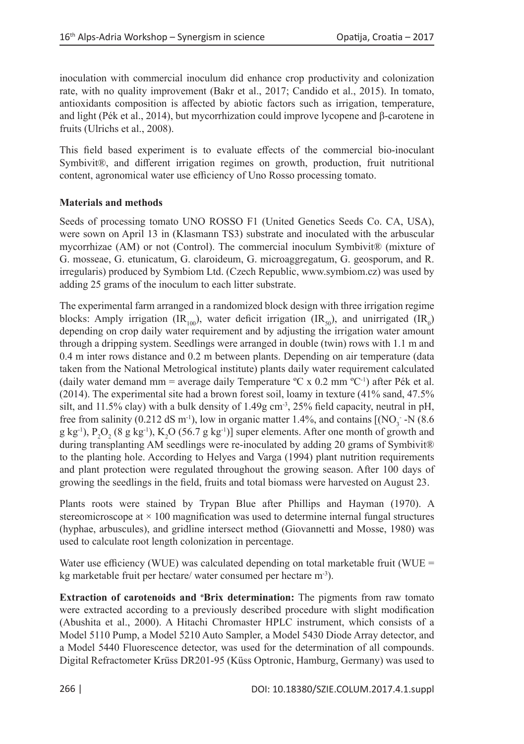inoculation with commercial inoculum did enhance crop productivity and colonization rate, with no quality improvement (Bakr et al., 2017; Candido et al., 2015). In tomato, antioxidants composition is affected by abiotic factors such as irrigation, temperature, and light (Pék et al., 2014), but mycorrhization could improve lycopene and  $\beta$ -carotene in fruits (Ulrichs et al., 2008).

This field based experiment is to evaluate effects of the commercial bio-inoculant Symbivit®, and different irrigation regimes on growth, production, fruit nutritional content, agronomical water use efficiency of Uno Rosso processing tomato.

# **Materials and methods**

Seeds of processing tomato UNO ROSSO F1 (United Genetics Seeds Co. CA, USA), were sown on April 13 in (Klasmann TS3) substrate and inoculated with the arbuscular mycorrhizae (AM) or not (Control). The commercial inoculum Symbivit® (mixture of G. mosseae, G. etunicatum, G. claroideum, G. microaggregatum, G. geosporum, and R. irregularis) produced by Symbiom Ltd. (Czech Republic, [www.symbiom.cz](http://www.symbiom.cz)) was used by adding 25 grams of the inoculum to each litter substrate.

The experimental farm arranged in a randomized block design with three irrigation regime blocks: Amply irrigation (IR<sub>100</sub>), water deficit irrigation (IR<sub>50</sub>), and unirrigated (IR<sub>0</sub>) depending on crop daily water requirement and by adjusting the irrigation water amount through a dripping system. Seedlings were arranged in double (twin) rows with 1.1 m and 0.4 m inter rows distance and 0.2 m between plants. Depending on air temperature (data taken from the National Metrological institute) plants daily water requirement calculated (daily water demand mm = average daily Temperature  ${}^{\circ}C$  x 0.2 mm  ${}^{\circ}C^{-1}$ ) after Pék et al. (2014). The experimental site had a brown forest soil, loamy in texture (41% sand, 47.5% silt, and 11.5% clay) with a bulk density of 1.49g cm<sup>-3</sup>, 25% field capacity, neutral in pH, free from salinity (0.212 dS m<sup>-1</sup>), low in organic matter 1.4%, and contains  $[(NO<sub>3</sub> - N (8.6$  $(g \ kg^{-1}), P_2O_2 (8 g \ kg^{-1}), K_2O (56.7 g \ kg^{-1})]$  super elements. After one month of growth and during transplanting AM seedlings were re-inoculated by adding 20 grams of Symbivit® to the planting hole. According to Helyes and Varga (1994) plant nutrition requirements and plant protection were regulated throughout the growing season. After 100 days of growing the seedlings in the field, fruits and total biomass were harvested on August 23.

Plants roots were stained by Trypan Blue after Phillips and Hayman (1970). A stereomicroscope at  $\times$  100 magnification was used to determine internal fungal structures (hyphae, arbuscules), and gridline intersect method (Giovannetti and Mosse, 1980) was used to calculate root length colonization in percentage.

Water use efficiency (WUE) was calculated depending on total marketable fruit (WUE  $=$ kg marketable fruit per hectare/ water consumed per hectare m-3).

**Extraction of carotenoids and 'Brix determination:** The pigments from raw tomato were extracted according to a previously described procedure with slight modification (Abushita et al., 2000). A Hitachi Chromaster HPLC instrument, which consists of a Model 5110 Pump, a Model 5210 Auto Sampler, a Model 5430 Diode Array detector, and a Model 5440 Fluorescence detector, was used for the determination of all compounds. Digital Refractometer Krüss DR201-95 (Küss Optronic, Hamburg, Germany) was used to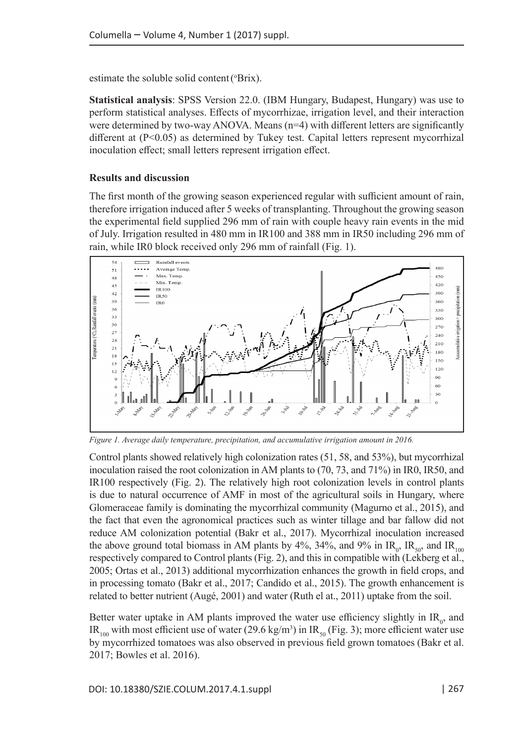estimate the soluble solid content (°Brix).

**Statistical analysis**: SPSS Version 22.0. (IBM Hungary, Budapest, Hungary) was use to perform statistical analyses. Effects of mycorrhizae, irrigation level, and their interaction were determined by two-way ANOVA. Means (n=4) with different letters are significantly different at (P<0.05) as determined by Tukey test. Capital letters represent mycorrhizal inoculation effect; small letters represent irrigation effect.

# **Results and discussion**

The first month of the growing season experienced regular with sufficient amount of rain, therefore irrigation induced after 5 weeks of transplanting. Throughout the growing season the experimental field supplied 296 mm of rain with couple heavy rain events in the mid of July. Irrigation resulted in 480 mm in IR100 and 388 mm in IR50 including 296 mm of rain, while IR0 block received only 296 mm of rainfall (Fig. 1).



*Figure 1. Average daily temperature, precipitation, and accumulative irrigation amount in 2016.*

Control plants showed relatively high colonization rates (51, 58, and 53%), but mycorrhizal inoculation raised the root colonization in AM plants to (70, 73, and 71%) in IR0, IR50, and IR100 respectively (Fig. 2). The relatively high root colonization levels in control plants is due to natural occurrence of AMF in most of the agricultural soils in Hungary, where Glomeraceae family is dominating the mycorrhizal community (Magurno et al., 2015), and the fact that even the agronomical practices such as winter tillage and bar fallow did not reduce AM colonization potential (Bakr et al., 2017). Mycorrhizal inoculation increased the above ground total biomass in AM plants by 4%, 34%, and 9% in  $IR_{0}$ ,  $IR_{50}$ , and  $IR_{100}$ respectively compared to Control plants (Fig. 2), and this in compatible with (Lekberg et al., 2005; Ortas et al., 2013) additional mycorrhization enhances the growth in field crops, and in processing tomato (Bakr et al., 2017; Candido et al., 2015). The growth enhancement is related to better nutrient (Augé, 2001) and water (Ruth el at., 2011) uptake from the soil.

Better water uptake in AM plants improved the water use efficiency slightly in  $IR_0$ , and IR<sub>100</sub> with most efficient use of water (29.6 kg/m<sup>3</sup>) in IR<sub>50</sub> (Fig. 3); more efficient water use by mycorrhized tomatoes was also observed in previous field grown tomatoes (Bakr et al. 2017; Bowles et al. 2016).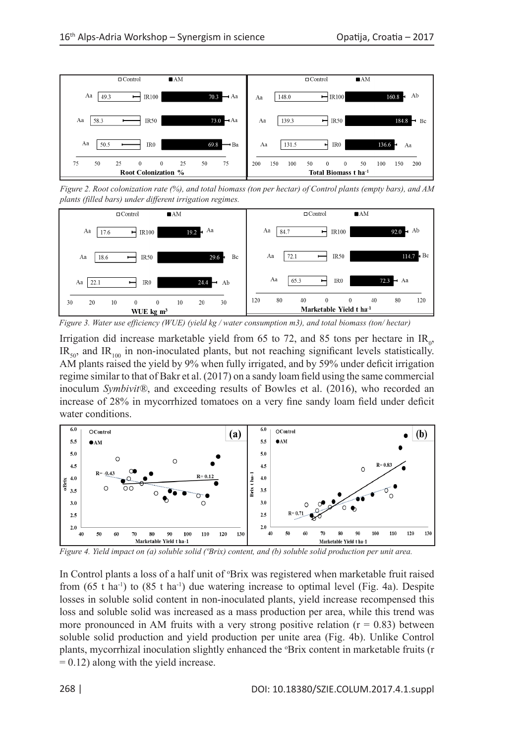

*Figure 2. Root colonization rate (%), and total biomass (ton per hectar) of Control plants (empty bars), and AM plants (filled bars) under different irrigation regimes.* 



*Figure 3. Water use efficiency (WUE) (yield kg / water consumption m3), and total biomass (ton/ hectar)* 

Irrigation did increase marketable yield from 65 to 72, and 85 tons per hectare in  $IR_0$ ,  $IR<sub>50</sub>$ , and  $IR<sub>100</sub>$  in non-inoculated plants, but not reaching significant levels statistically. AM plants raised the yield by 9% when fully irrigated, and by 59% under deficit irrigation regime similar to that of Bakr et al. (2017) on a sandy loam field using the same commercial inoculum *Symbivit®*, and exceeding results of Bowles et al. (2016), who recorded an increase of 28% in mycorrhized tomatoes on a very fine sandy loam field under deficit water conditions.



*Figure 4. Yield impact on (a) soluble solid (ºBrix) content, and (b) soluble solid production per unit area.*

In Control plants a loss of a half unit of °Brix was registered when marketable fruit raised from  $(65 \text{ t} \text{ ha}^{-1})$  to  $(85 \text{ t} \text{ ha}^{-1})$  due watering increase to optimal level (Fig. 4a). Despite losses in soluble solid content in non-inoculated plants, yield increase recompensed this loss and soluble solid was increased as a mass production per area, while this trend was more pronounced in AM fruits with a very strong positive relation  $(r = 0.83)$  between soluble solid production and yield production per unite area (Fig. 4b). Unlike Control plants, mycorrhizal inoculation slightly enhanced the 'Brix content in marketable fruits (r  $= 0.12$ ) along with the yield increase.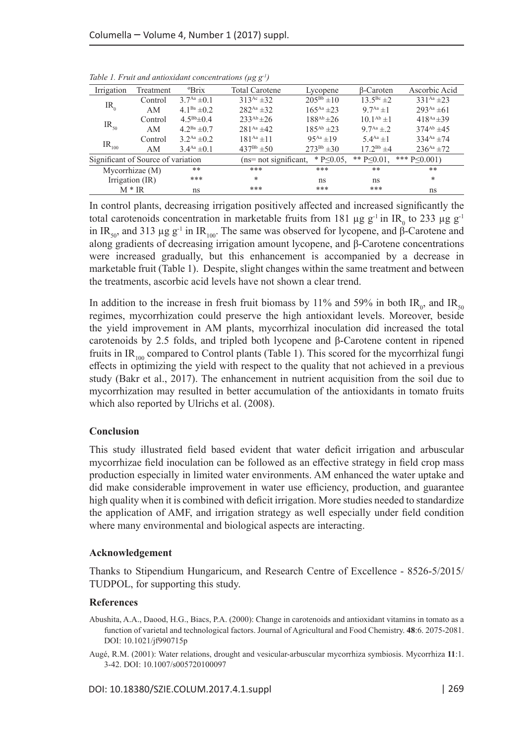| Irrigation                         | Treatment | <sup>o</sup> Brix           | <b>Total Carotene</b>  | Lycopene          | B-Caroten         | Ascorbic Acid     |
|------------------------------------|-----------|-----------------------------|------------------------|-------------------|-------------------|-------------------|
| $IR_{0}$                           | Control   | $3.7^{Aa} \pm 0.1$          | $313^{Ac} \pm 32$      | $205^{Bb} \pm 10$ | $13.5^{Bc} \pm 2$ | 331 Aa $\pm$ 23   |
|                                    | AM        | 4.1 <sup>Ba</sup> $\pm$ 0.2 | $282^{Aa} \pm 32$      | $165^{Aa}$ ± 23   | $9.7^{Aa}+1$      | $293^{Aa} \pm 61$ |
| $IR_{50}$                          | Control   | $4.5^{Bb} \pm 0.4$          | $233^{Ab} \pm 26$      | $188^{Ab} \pm 26$ | $10.1^{Ab}$ ±1    | $418^{Aa} \pm 39$ |
|                                    | AM        | $4.2^{Ba}$ $\pm 0.7$        | $281^{Aa} + 42$        | $185^{Ab} \pm 23$ | $9.7^{Aa} \pm 2.$ | $374^{Ab}$ ±45    |
| $IR_{100}$                         | Control   | $3.2^{Aa} \pm 0.2$          | $181^{Aa}$ ± 11        | $95^{Aa}+19$      | $5.4^{Aa}+1$      | $334^{Aa} \pm 74$ |
|                                    | AM        | $3.4^{Aa} \pm 0.1$          | $437^{Bb} \pm 50$      | $273^{Bb} \pm 30$ | $17.2^{Bb} \pm 4$ | $236^{Aa} \pm 72$ |
| Significant of Source of variation |           |                             | $(ns=not$ significant, | $*$ P<0.05.       | ** $P \le 0.01$ . | *** $P \le 0.001$ |
| Mycorrhizae (M)                    |           | **                          | ***                    | ***               | **                | **                |
| Irrigation (IR)                    |           | ***                         | *                      | ns                | ns                | *                 |
| $M * IR$                           |           | ns                          | ***                    | ***               | ***               | ns                |

*Table 1. Fruit and antioxidant concentrations (µg g-1)*

In control plants, decreasing irrigation positively affected and increased significantly the total carotenoids concentration in marketable fruits from 181 µg  $g^{-1}$  in IR<sub>0</sub> to 233 µg  $g^{-1}$ in IR<sub>50</sub>, and 313 µg g<sup>-1</sup> in IR<sub>100</sub>. The same was observed for lycopene, and β-Carotene and along gradients of decreasing irrigation amount lycopene, and β-Carotene concentrations were increased gradually, but this enhancement is accompanied by a decrease in marketable fruit (Table 1). Despite, slight changes within the same treatment and between the treatments, ascorbic acid levels have not shown a clear trend.

In addition to the increase in fresh fruit biomass by 11% and 59% in both  $IR_{0}$ , and  $IR_{50}$ regimes, mycorrhization could preserve the high antioxidant levels. Moreover, beside the yield improvement in AM plants, mycorrhizal inoculation did increased the total carotenoids by 2.5 folds, and tripled both lycopene and β-Carotene content in ripened fruits in IR<sub>100</sub> compared to Control plants (Table 1). This scored for the mycorrhizal fungi effects in optimizing the yield with respect to the quality that not achieved in a previous study (Bakr et al., 2017). The enhancement in nutrient acquisition from the soil due to mycorrhization may resulted in better accumulation of the antioxidants in tomato fruits which also reported by Ulrichs et al. (2008).

## **Conclusion**

This study illustrated field based evident that water deficit irrigation and arbuscular mycorrhizae field inoculation can be followed as an effective strategy in field crop mass production especially in limited water environments. AM enhanced the water uptake and did make considerable improvement in water use efficiency, production, and guarantee high quality when it is combined with deficit irrigation. More studies needed to standardize the application of AMF, and irrigation strategy as well especially under field condition where many environmental and biological aspects are interacting.

### **Acknowledgement**

Thanks to Stipendium Hungaricum, and Research Centre of Excellence - 8526-5/2015/ TUDPOL, for supporting this study.

### **References**

Abushita, A.A., Daood, H.G., Biacs, P.A. (2000): Change in carotenoids and antioxidant vitamins in tomato as a function of varietal and technological factors. Journal of Agricultural and Food Chemistry. **48**:6. 2075-2081. DOI: 10.1021/jf990715p

Augé, R.M. (2001): Water relations, drought and vesicular-arbuscular mycorrhiza symbiosis. Mycorrhiza **11**:1. 3-42. DOI: 10.1007/s005720100097